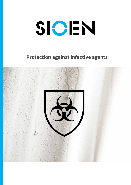# SIOEN

# **Protection against infective agents**

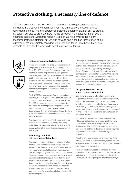# **Protective clothing: a necessary line of defence**

2020 is a year that will be forever in our memories as we got confronted with a pandemic the 21st century hadn't seen yet. The outbreak of the Covid-19 virus reminded us of how important personal protective equipment is. Not only to protect ourselves, but also to protect others. As the European market leader, Sioen could not stand aside and watch this happen. At Sioen we not only produce highly technical protective clothing, but we also strive to find a solution for the need of our customers. We immediately considered our technical fabric Flexothane® Kleen as a possible solution for this worldwide health crisis we are facing.





### **Protection against infective agents**

In response to this health crisis, Sioen examined the compliance of its Flexothane® Kleen garments to EN 14126:2003 standard: Performance requirements and test methods for protective clothing against infective agents. This standard specifies requirements and test methods for re-usable and limited use protective clothing providing protection against infective agents. These materials must protect the skin, and therefore the wearer, against possible contact with biological substances and prevent the spread of germs.

The EN 14126 only covers performance requirements and always goes together with a chemical standard, in case of Flexothane® Kleen this is EN 14605. The EN 14126 standard comprises 4 test methods to determine the level of protection against several specific biological dangers. The tests differ depending on the kind of biological danger (bacteria or viruses) and the nature of contamination (particles, fluids or aerosol).

Flexothane® Kleen has specifically been tested on its resistance to penetration under pressure by bloodborne pathogenes (ISO/FDIS 16604). A liquid contaminated with a bacteriophage is used for this kind of test.

# **Technology combined with international standards**

Flexothane® has originally been engineered to form a durable and impenetrable barrier against water and wind. The fact that Flexothane® is waterproof is very important in the fight against viruses that are spread through body moisture, saliva or nasal mucus. The polyurethane coating on the stretchable knitted base makes the fabric supple, highly tear resistant and machine washable. Moreover, the Flexothane® Kleen range is especially designed for industries that require an optimum hygiene, hence it is possible to wash these garments at 95°C! Likewise, these garments make for an ecological alternative for all the disposable garments.

Our range of Flexothane® Kleen garments all comply to the international standard EN 14605 for protective clothing against liquid chemicals. More specifically they are labelled as Type PB [4], meaning that these offer partial body protection with spray-tight connections between different parts of the clothing. Partial body protection garments offer protection to specific parts of the body against permeation of chemical liquids, such as our Nantou apron, our Cork sleeves or our Killybeg bib and brace.

## **Design and comfort matter when it comes to protection**

Our designers have to take into account many requirements when designing a protective garment, after all, the safety and health of people depend on it. For example, viruses, bacteria and spores are small enough to penetrate through opening of sewn seams so welded or taped seams are recommended. All the seams of our Flexothane® garments are highfrequency welded.

Furthermore, the garment cannot have features which may collect liquid chemicals and hold them onto the fabric surface like unprotected pockets. Attention to detail is vital and our designers make sure that our clothing is designed in such a way that no penetration of chemicals/infective agents is possible.

Flexothane® is strong, supple and light. It is a 150% stretchable fabric. It doesn't restrict your movements in any way, in fact, it moves with you and thus ensures your freedom of movement.

Have a look at our website and choose the right protective clothing for you. You may need the Morgat jacket or you might prefer a longer coat like the Rigi. Or maybe our Boulogne apron does the trick for you.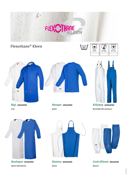# **NE** F

# **Flexothane® Kleen**









*Morgat - 4391A2FK0* **Jacket**

**Reversible bib and brace**



**Coat**

*Boulogne - 8133A2FK0* **Apron with sleeves**



*Nantou - 8195A2FK0* **Apron**



*Cork (Kleen) - 8161A2FK0* **Sleeves**